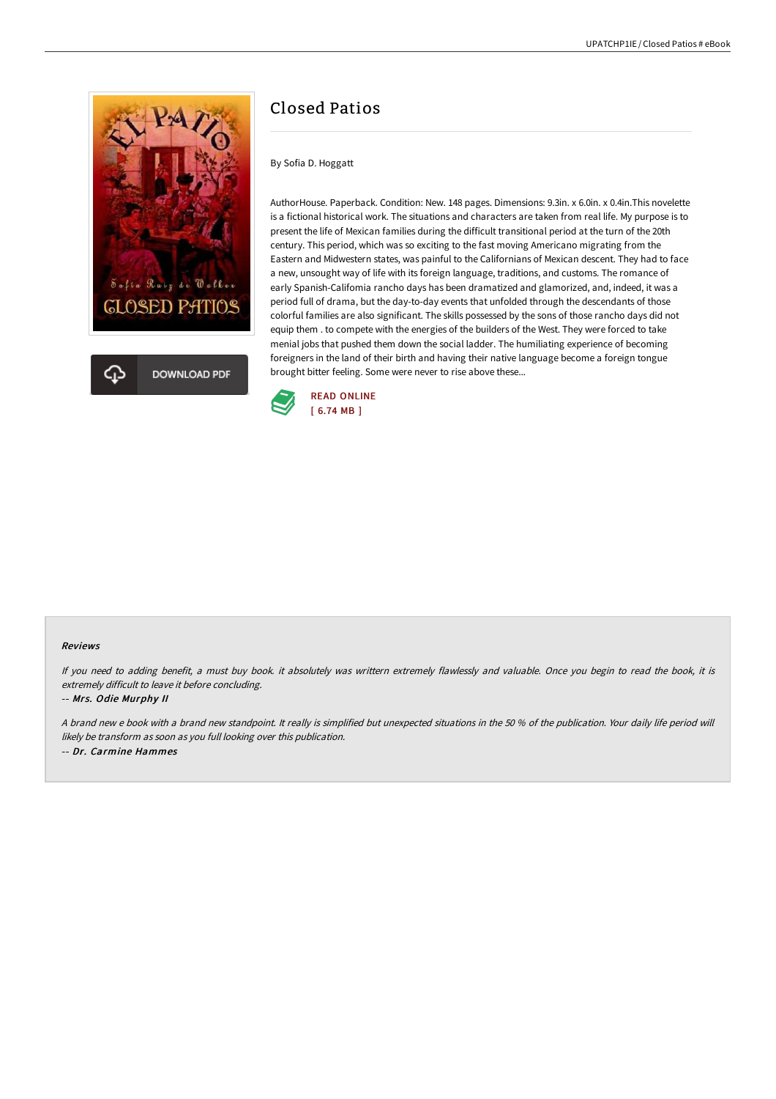

# Closed Patios

By Sofia D. Hoggatt

AuthorHouse. Paperback. Condition: New. 148 pages. Dimensions: 9.3in. x 6.0in. x 0.4in.This novelette is a fictional historical work. The situations and characters are taken from real life. My purpose is to present the life of Mexican families during the difficult transitional period at the turn of the 20th century. This period, which was so exciting to the fast moving Americano migrating from the Eastern and Midwestern states, was painful to the Californians of Mexican descent. They had to face a new, unsought way of life with its foreign language, traditions, and customs. The romance of early Spanish-Califomia rancho days has been dramatized and glamorized, and, indeed, it was a period full of drama, but the day-to-day events that unfolded through the descendants of those colorful families are also significant. The skills possessed by the sons of those rancho days did not equip them . to compete with the energies of the builders of the West. They were forced to take menial jobs that pushed them down the social ladder. The humiliating experience of becoming foreigners in the land of their birth and having their native language become a foreign tongue brought bitter feeling. Some were never to rise above these...



#### Reviews

If you need to adding benefit, <sup>a</sup> must buy book. it absolutely was writtern extremely flawlessly and valuable. Once you begin to read the book, it is extremely difficult to leave it before concluding.

#### -- Mrs. Odie Murphy II

A brand new <sup>e</sup> book with <sup>a</sup> brand new standpoint. It really is simplified but unexpected situations in the 50 % of the publication. Your daily life period will likely be transform as soon as you full looking over this publication. -- Dr. Carmine Hammes